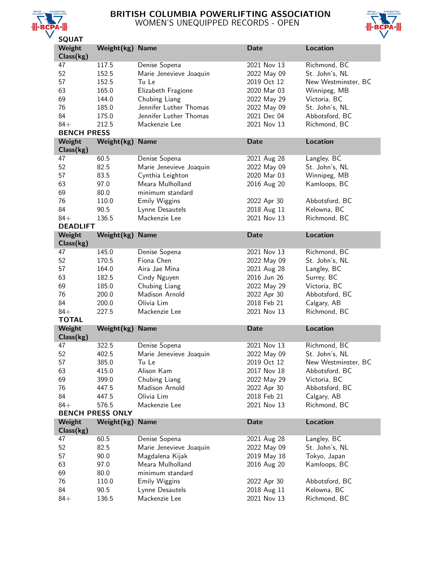

# BRITISH COLUMBIA POWERLIFTING ASSOCIATION WOMEN'S UNEQUIPPED RECORDS - OPEN



| Weight             | Weight(kg)                       | <b>Name</b>                      | <b>Date</b>                | <b>Location</b>             |
|--------------------|----------------------------------|----------------------------------|----------------------------|-----------------------------|
| Class(kg)          |                                  |                                  |                            |                             |
| 47                 | 117.5                            | Denise Sopena                    | 2021 Nov 13                | Richmond, BC                |
| 52                 | 152.5                            | Marie Jenevieve Joaquin          | 2022 May 09                | St. John's, NL              |
| 57                 | 152.5                            | Tu Le                            | 2019 Oct 12                | New Westminster, BC         |
| 63                 | 165.0                            |                                  | 2020 Mar 03                |                             |
|                    |                                  | Elizabeth Fragione               |                            | Winnipeg, MB                |
| 69                 | 144.0                            | Chubing Liang                    | 2022 May 29                | Victoria, BC                |
| 76                 | 185.0                            | Jennifer Luther Thomas           | 2022 May 09                | St. John's, NL              |
| 84                 | 175.0                            | Jennifer Luther Thomas           | 2021 Dec 04                | Abbotsford, BC              |
| $84+$              | 212.5                            | Mackenzie Lee                    | 2021 Nov 13                | Richmond, BC                |
| <b>BENCH PRESS</b> |                                  |                                  |                            |                             |
| Weight             | Weight(kg)                       | <b>Name</b>                      | <b>Date</b>                | <b>Location</b>             |
| Class(kg)          |                                  |                                  |                            |                             |
| 47                 | 60.5                             | Denise Sopena                    | 2021 Aug 28                | Langley, BC                 |
| 52                 | 82.5                             | Marie Jenevieve Joaquin          | 2022 May 09                | St. John's, NL              |
| 57                 | 83.5                             | Cynthia Leighton                 | 2020 Mar 03                | Winnipeg, MB                |
| 63                 | 97.0                             | Meara Mulholland                 | 2016 Aug 20                | Kamloops, BC                |
| 69                 | 80.0                             | minimum standard                 |                            |                             |
| 76                 | 110.0                            | <b>Emily Wiggins</b>             | 2022 Apr 30                | Abbotsford, BC              |
| 84                 | 90.5                             | Lynne Desautels                  | 2018 Aug 11                | Kelowna, BC                 |
| $84+$              | 136.5                            | Mackenzie Lee                    | 2021 Nov 13                | Richmond, BC                |
| <b>DEADLIFT</b>    |                                  |                                  |                            |                             |
| Weight             |                                  | <b>Name</b>                      | Date                       | <b>Location</b>             |
|                    | Weight(kg)                       |                                  |                            |                             |
| Class(kg)          |                                  |                                  |                            |                             |
| 47                 | 145.0                            | Denise Sopena                    | 2021 Nov 13                | Richmond, BC                |
| 52                 | 170.5                            | Fiona Chen                       | 2022 May 09                | St. John's, NL              |
| 57                 | 164.0                            | Aira Jae Mina                    | 2021 Aug 28                | Langley, BC                 |
| 63                 | 182.5                            | Cindy Nguyen                     | 2016 Jun 26                | Surrey, BC                  |
| 69                 | 185.0                            | Chubing Liang                    | 2022 May 29                | Victoria, BC                |
| 76                 | 200.0                            | Madison Arnold                   | 2022 Apr 30                | Abbotsford, BC              |
| 84                 | 200.0                            | Olivia Lim                       | 2018 Feb 21                | Calgary, AB                 |
| $84+$              | 227.5                            | Mackenzie Lee                    | 2021 Nov 13                | Richmond, BC                |
| <b>TOTAL</b>       |                                  |                                  |                            |                             |
|                    |                                  |                                  |                            |                             |
|                    |                                  |                                  |                            |                             |
| Weight             | Weight(kg)                       | <b>Name</b>                      | <b>Date</b>                | <b>Location</b>             |
| Class(kg)          |                                  |                                  |                            |                             |
| 47                 | 322.5                            | Denise Sopena                    | 2021 Nov 13                | Richmond, BC                |
| 52                 | 402.5                            | Marie Jenevieve Joaquin          | 2022 May 09                | St. John's, NL              |
| 57                 | 385.0                            | Tu Le                            | 2019 Oct 12                | New Westminster, BC         |
| 63                 | 415.0                            | Alison Kam                       | 2017 Nov 18                | Abbotsford, BC              |
| 69                 | 399.0                            | Chubing Liang                    | 2022 May 29                | Victoria, BC                |
| 76                 | 447.5                            | Madison Arnold                   | 2022 Apr 30                | Abbotsford, BC              |
| 84                 | 447.5                            | Olivia Lim                       | 2018 Feb 21                | Calgary, AB                 |
| $84+$              |                                  | Mackenzie Lee                    | 2021 Nov 13                |                             |
|                    | 576.5<br><b>BENCH PRESS ONLY</b> |                                  |                            | Richmond, BC                |
|                    |                                  |                                  |                            |                             |
| Weight             | Weight(kg)                       | <b>Name</b>                      | <b>Date</b>                | <b>Location</b>             |
| Class(kg)<br>47    |                                  |                                  |                            |                             |
|                    | 60.5                             | Denise Sopena                    | 2021 Aug 28                | Langley, BC                 |
| 52                 | 82.5                             | Marie Jenevieve Joaquin          | 2022 May 09                | St. John's, NL              |
| 57                 | 90.0                             | Magdalena Kijak                  | 2019 May 18                | Tokyo, Japan                |
| 63                 | 97.0                             | Meara Mulholland                 | 2016 Aug 20                | Kamloops, BC                |
| 69                 | 80.0                             | minimum standard                 |                            |                             |
| 76                 | 110.0                            | <b>Emily Wiggins</b>             | 2022 Apr 30                | Abbotsford, BC              |
| 84<br>$84+$        | 90.5<br>136.5                    | Lynne Desautels<br>Mackenzie Lee | 2018 Aug 11<br>2021 Nov 13 | Kelowna, BC<br>Richmond, BC |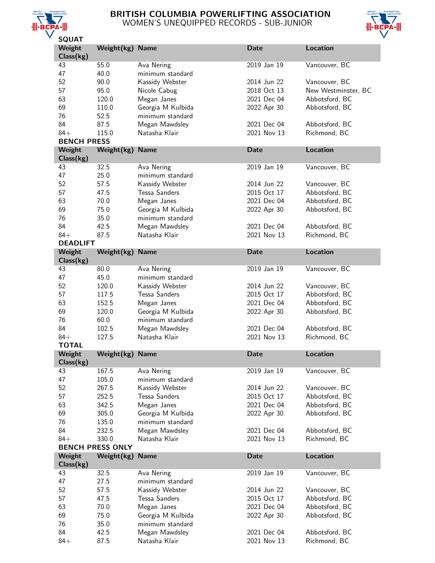

## BRITISH COLUMBIA POWERLIFTING ASSOCIATION WOMEN'S UNEQUIPPED RECORDS - SUB-JUNIOR



| JQUAI               |                         |                      |             |                     |
|---------------------|-------------------------|----------------------|-------------|---------------------|
| Weight<br>Class(kg) | Weight(kg)              | <b>Name</b>          | <b>Date</b> | <b>Location</b>     |
| 43                  | 55.0                    | Ava Nering           | 2019 Jan 19 | Vancouver, BC       |
| 47                  | 40.0                    | minimum standard     |             |                     |
| 52                  | 90.0                    | Kassidy Webster      | 2014 Jun 22 | Vancouver, BC       |
|                     |                         |                      |             |                     |
| 57                  | 95.0                    | Nicole Cabug         | 2018 Oct 13 | New Westminster, BC |
| 63                  | 120.0                   | Megan Janes          | 2021 Dec 04 | Abbotsford, BC      |
| 69                  | 110.0                   | Georgia M Kulbida    | 2022 Apr 30 | Abbotsford, BC      |
| 76                  | 52.5                    | minimum standard     |             |                     |
| 84                  | 87.5                    | Megan Mawdsley       | 2021 Dec 04 | Abbotsford, BC      |
| $84+$               | 115.0                   | Natasha Klair        | 2021 Nov 13 | Richmond, BC        |
| <b>BENCH PRESS</b>  |                         |                      |             |                     |
| Weight              | Weight(kg)              | <b>Name</b>          | <b>Date</b> | <b>Location</b>     |
| Class(kg)           |                         |                      |             |                     |
| 43                  | 32.5                    | Ava Nering           | 2019 Jan 19 | Vancouver, BC       |
|                     |                         |                      |             |                     |
| 47                  | 25.0                    | minimum standard     |             |                     |
| 52                  | 57.5                    | Kassidy Webster      | 2014 Jun 22 | Vancouver, BC       |
| 57                  | 47.5                    | <b>Tessa Sanders</b> | 2015 Oct 17 | Abbotsford, BC      |
| 63                  | 70.0                    | Megan Janes          | 2021 Dec 04 | Abbotsford, BC      |
| 69                  | 75.0                    | Georgia M Kulbida    | 2022 Apr 30 | Abbotsford, BC      |
| 76                  | 35.0                    | minimum standard     |             |                     |
| 84                  | 42.5                    | Megan Mawdsley       | 2021 Dec 04 | Abbotsford, BC      |
| $84+$               | 87.5                    | Natasha Klair        | 2021 Nov 13 | Richmond, BC        |
| <b>DEADLIFT</b>     |                         |                      |             |                     |
| Weight              | Weight(kg)              | <b>Name</b>          | <b>Date</b> | <b>Location</b>     |
|                     |                         |                      |             |                     |
| Class(kg)           |                         |                      |             |                     |
| 43                  | 80.0                    | Ava Nering           | 2019 Jan 19 | Vancouver, BC       |
| 47                  | 45.0                    | minimum standard     |             |                     |
| 52                  | 120.0                   | Kassidy Webster      | 2014 Jun 22 | Vancouver, BC       |
| 57                  | 117.5                   | <b>Tessa Sanders</b> | 2015 Oct 17 | Abbotsford, BC      |
| 63                  | 152.5                   | Megan Janes          | 2021 Dec 04 | Abbotsford, BC      |
| 69                  | 120.0                   | Georgia M Kulbida    | 2022 Apr 30 | Abbotsford, BC      |
| 76                  | 60.0                    | minimum standard     |             |                     |
| 84                  | 102.5                   | Megan Mawdsley       | 2021 Dec 04 | Abbotsford, BC      |
| $84+$               | 127.5                   | Natasha Klair        | 2021 Nov 13 | Richmond, BC        |
| <b>TOTAL</b>        |                         |                      |             |                     |
| Weight              | Weight(kg)              | <b>Name</b>          | <b>Date</b> | <b>Location</b>     |
| Class(kg)           |                         |                      |             |                     |
| 43                  | 167.5                   | Ava Nering           | 2019 Jan 19 | Vancouver, BC       |
| 47                  | 105.0                   | minimum standard     |             |                     |
| 52                  | 267.5                   | Kassidy Webster      | 2014 Jun 22 | Vancouver, BC       |
| 57                  | 252.5                   | <b>Tessa Sanders</b> | 2015 Oct 17 | Abbotsford, BC      |
| 63                  | 342.5                   | Megan Janes          | 2021 Dec 04 | Abbotsford, BC      |
| 69                  | 305.0                   | Georgia M Kulbida    | 2022 Apr 30 | Abbotsford, BC      |
|                     |                         |                      |             |                     |
| 76                  | 135.0                   | minimum standard     |             |                     |
| 84                  | 232.5                   | Megan Mawdsley       | 2021 Dec 04 | Abbotsford, BC      |
| $84+$               | 330.0                   | Natasha Klair        | 2021 Nov 13 | Richmond, BC        |
|                     | <b>BENCH PRESS ONLY</b> |                      |             |                     |
| Weight              | Weight(kg)              | <b>Name</b>          | <b>Date</b> | <b>Location</b>     |
| Class(kg)           |                         |                      |             |                     |
| 43                  | 32.5                    | Ava Nering           | 2019 Jan 19 | Vancouver, BC       |
| 47                  | 27.5                    | minimum standard     |             |                     |
| 52                  | 57.5                    | Kassidy Webster      | 2014 Jun 22 | Vancouver, BC       |
| 57                  | 47.5                    | <b>Tessa Sanders</b> | 2015 Oct 17 | Abbotsford, BC      |
| 63                  | 70.0                    | Megan Janes          | 2021 Dec 04 | Abbotsford, BC      |
| 69                  | 75.0                    | Georgia M Kulbida    | 2022 Apr 30 | Abbotsford, BC      |
| 76                  | 35.0                    | minimum standard     |             |                     |
| 84                  | 42.5                    | Megan Mawdsley       | 2021 Dec 04 | Abbotsford, BC      |
| $84+$               | 87.5                    | Natasha Klair        |             | Richmond, BC        |
|                     |                         |                      | 2021 Nov 13 |                     |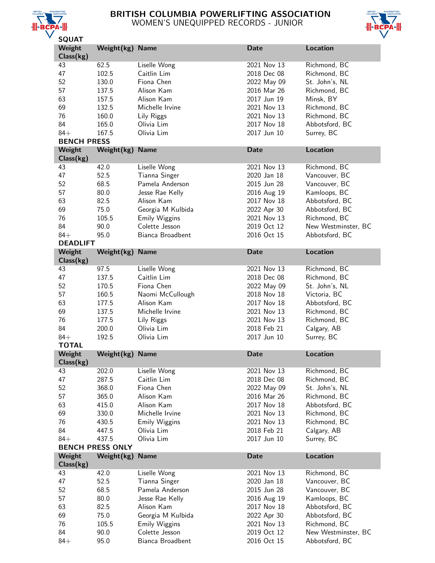

# BRITISH COLUMBIA POWERLIFTING ASSOCIATION WOMEN'S UNEQUIPPED RECORDS - JUNIOR



| SQUAI               |                         |                                    |                            |                                       |
|---------------------|-------------------------|------------------------------------|----------------------------|---------------------------------------|
| Weight<br>Class(kg) | Weight $(kg)$           | <b>Name</b>                        | <b>Date</b>                | <b>Location</b>                       |
| 43                  | 62.5                    | Liselle Wong                       | 2021 Nov 13                | Richmond, BC                          |
| 47                  | 102.5                   | Caitlin Lim                        | 2018 Dec 08                | Richmond, BC                          |
| 52                  | 130.0                   | Fiona Chen                         | 2022 May 09                | St. John's, NL                        |
| 57                  |                         | Alison Kam                         | 2016 Mar 26                |                                       |
|                     | 137.5                   |                                    |                            | Richmond, BC                          |
| 63                  | 157.5                   | Alison Kam                         | 2017 Jun 19                | Minsk, BY                             |
| 69                  | 132.5                   | Michelle Irvine                    | 2021 Nov 13                | Richmond, BC                          |
| 76                  | 160.0                   | Lily Riggs                         | 2021 Nov 13                | Richmond, BC                          |
| 84                  | 165.0                   | Olivia Lim                         | 2017 Nov 18                | Abbotsford, BC                        |
| $84+$               | 167.5                   | Olivia Lim                         | 2017 Jun 10                | Surrey, BC                            |
| <b>BENCH PRESS</b>  |                         |                                    |                            |                                       |
| Weight              | Weight(kg)              | <b>Name</b>                        | <b>Date</b>                | <b>Location</b>                       |
| Class(kg)           |                         |                                    |                            |                                       |
| 43                  | 42.0                    | Liselle Wong                       | 2021 Nov 13                | Richmond, BC                          |
| 47                  | 52.5                    | Tianna Singer                      | 2020 Jan 18                | Vancouver, BC                         |
| 52                  |                         | Pamela Anderson                    | 2015 Jun 28                |                                       |
|                     | 68.5                    |                                    |                            | Vancouver, BC                         |
| 57                  | 80.0                    | Jesse Rae Kelly                    | 2016 Aug 19                | Kamloops, BC                          |
| 63                  | 82.5                    | Alison Kam                         | 2017 Nov 18                | Abbotsford, BC                        |
| 69                  | 75.0                    | Georgia M Kulbida                  | 2022 Apr 30                | Abbotsford, BC                        |
| 76                  | 105.5                   | <b>Emily Wiggins</b>               | 2021 Nov 13                | Richmond, BC                          |
| 84                  | 90.0                    | Colette Jesson                     | 2019 Oct 12                | New Westminster, BC                   |
| $84+$               | 95.0                    | Bianca Broadbent                   | 2016 Oct 15                | Abbotsford, BC                        |
| <b>DEADLIFT</b>     |                         |                                    |                            |                                       |
| Weight              | Weight(kg)              | <b>Name</b>                        | <b>Date</b>                | <b>Location</b>                       |
| Class(kg)           |                         |                                    |                            |                                       |
| 43                  | 97.5                    | Liselle Wong                       | 2021 Nov 13                | Richmond, BC                          |
| 47                  | 137.5                   | Caitlin Lim                        | 2018 Dec 08                | Richmond, BC                          |
|                     |                         |                                    |                            |                                       |
| 52                  | 170.5                   | Fiona Chen                         | 2022 May 09                | St. John's, NL                        |
| 57                  | 160.5                   | Naomi McCullough                   | 2018 Nov 18                | Victoria, BC                          |
| 63                  | 177.5                   | Alison Kam                         | 2017 Nov 18                | Abbotsford, BC                        |
| 69                  | 137.5                   | Michelle Irvine                    | 2021 Nov 13                | Richmond, BC                          |
| 76                  | 177.5                   | Lily Riggs                         | 2021 Nov 13                | Richmond, BC                          |
| 84                  | 200.0                   | Olivia Lim                         | 2018 Feb 21                | Calgary, AB                           |
| $84+$               | 192.5                   | Olivia Lim                         | 2017 Jun 10                | Surrey, BC                            |
| <b>TOTAL</b>        |                         |                                    |                            |                                       |
| Weight<br>Class(kg) | Weight(kg)              | <b>Name</b>                        | <b>Date</b>                | <b>Location</b>                       |
| 43                  | 202.0                   | Liselle Wong                       | 2021 Nov 13                | Richmond, BC                          |
| 47                  | 287.5                   | Caitlin Lim                        | 2018 Dec 08                | Richmond, BC                          |
| 52                  | 368.0                   | Fiona Chen                         | 2022 May 09                | St. John's, NL                        |
| 57                  | 365.0                   | Alison Kam                         | 2016 Mar 26                | Richmond, BC                          |
| 63                  | 415.0                   | Alison Kam                         | 2017 Nov 18                | Abbotsford, BC                        |
| 69                  | 330.0                   | Michelle Irvine                    | 2021 Nov 13                | Richmond, BC                          |
|                     |                         |                                    |                            |                                       |
| 76                  | 430.5                   | <b>Emily Wiggins</b>               | 2021 Nov 13                | Richmond, BC                          |
| 84                  |                         |                                    |                            |                                       |
| $84+$               | 447.5                   | Olivia Lim                         | 2018 Feb 21                | Calgary, AB                           |
|                     | 437.5                   | Olivia Lim                         | 2017 Jun 10                | Surrey, BC                            |
|                     | <b>BENCH PRESS ONLY</b> |                                    |                            |                                       |
| Weight              | Weight(kg)              | <b>Name</b>                        | <b>Date</b>                | <b>Location</b>                       |
| Class(kg)           |                         |                                    |                            |                                       |
| 43                  | 42.0                    | Liselle Wong                       | 2021 Nov 13                | Richmond, BC                          |
| 47                  | 52.5                    | Tianna Singer                      | 2020 Jan 18                | Vancouver, BC                         |
|                     |                         | Pamela Anderson                    | 2015 Jun 28                |                                       |
| 52                  | 68.5                    |                                    |                            | Vancouver, BC                         |
| 57                  | 80.0                    | Jesse Rae Kelly                    | 2016 Aug 19                | Kamloops, BC                          |
| 63                  | 82.5                    | Alison Kam                         | 2017 Nov 18                | Abbotsford, BC                        |
| 69                  | 75.0                    | Georgia M Kulbida                  | 2022 Apr 30                | Abbotsford, BC                        |
| 76                  | 105.5                   | <b>Emily Wiggins</b>               | 2021 Nov 13                | Richmond, BC                          |
| 84<br>$84+$         | 90.0<br>95.0            | Colette Jesson<br>Bianca Broadbent | 2019 Oct 12<br>2016 Oct 15 | New Westminster, BC<br>Abbotsford, BC |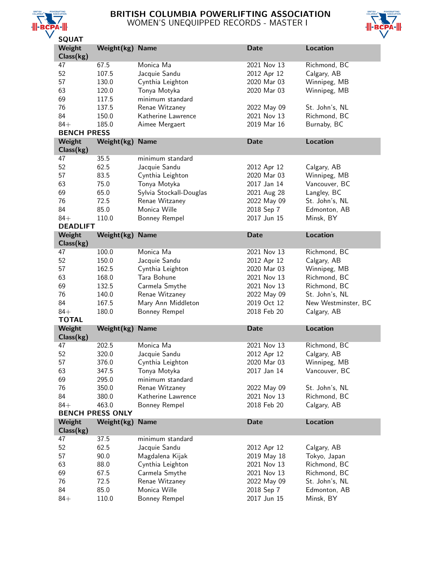

# BRITISH COLUMBIA POWERLIFTING ASSOCIATION WOMEN'S UNEQUIPPED RECORDS - MASTER I



| JQUAI                    |                         |                               |                           |                           |
|--------------------------|-------------------------|-------------------------------|---------------------------|---------------------------|
| Weight<br>Class(kg)      | Weight(kg)              | <b>Name</b>                   | <b>Date</b>               | <b>Location</b>           |
|                          | 67.5                    | Monica Ma                     | 2021 Nov 13               |                           |
| 47                       |                         |                               |                           | Richmond, BC              |
| 52                       | 107.5                   | Jacquie Sandu                 | 2012 Apr 12               | Calgary, AB               |
| 57                       | 130.0                   | Cynthia Leighton              | 2020 Mar 03               | Winnipeg, MB              |
| 63                       | 120.0                   | Tonya Motyka                  | 2020 Mar 03               | Winnipeg, MB              |
| 69                       | 117.5                   | minimum standard              |                           |                           |
| 76                       | 137.5                   | Renae Witzaney                | 2022 May 09               | St. John's, NL            |
| 84                       | 150.0                   | Katherine Lawrence            | 2021 Nov 13               | Richmond, BC              |
| $84+$                    | 185.0                   | Aimee Mergaert                | 2019 Mar 16               | Burnaby, BC               |
| <b>BENCH PRESS</b>       |                         |                               |                           |                           |
| Weight                   | Weight(kg)              | <b>Name</b>                   | <b>Date</b>               | <b>Location</b>           |
| Class(kg)                |                         |                               |                           |                           |
| 47                       | 35.5                    | minimum standard              |                           |                           |
| 52                       | 62.5                    | Jacquie Sandu                 | 2012 Apr 12               | Calgary, AB               |
| 57                       | 83.5                    | Cynthia Leighton              | 2020 Mar 03               | Winnipeg, MB              |
| 63                       | 75.0                    | Tonya Motyka                  | 2017 Jan 14               | Vancouver, BC             |
| 69                       | 65.0                    | Sylvia Stockall-Douglas       | 2021 Aug 28               | Langley, BC               |
| 76                       | 72.5                    | Renae Witzaney                | 2022 May 09               | St. John's, NL            |
| 84                       | 85.0                    | Monica Wille                  | 2018 Sep 7                | Edmonton, AB              |
|                          |                         |                               |                           |                           |
| $84+$<br><b>DEADLIFT</b> | 110.0                   | Bonney Rempel                 | 2017 Jun 15               | Minsk, BY                 |
| Weight                   | Weight $(kg)$           | <b>Name</b>                   | <b>Date</b>               | <b>Location</b>           |
| Class(kg)                |                         |                               |                           |                           |
| 47                       | 100.0                   | Monica Ma                     | 2021 Nov 13               | Richmond, BC              |
| 52                       | 150.0                   | Jacquie Sandu                 | 2012 Apr 12               | Calgary, AB               |
| 57                       |                         |                               |                           |                           |
|                          | 162.5                   | Cynthia Leighton              | 2020 Mar 03               | Winnipeg, MB              |
| 63                       | 168.0                   | Tara Bohune                   | 2021 Nov 13               | Richmond, BC              |
| 69                       | 132.5                   | Carmela Smythe                | 2021 Nov 13               | Richmond, BC              |
| 76                       | 140.0                   | Renae Witzaney                | 2022 May 09               | St. John's, NL            |
| 84                       | 167.5                   | Mary Ann Middleton            | 2019 Oct 12               | New Westminster, BC       |
| $84+$                    | 180.0                   | Bonney Rempel                 | 2018 Feb 20               | Calgary, AB               |
| <b>TOTAL</b>             |                         |                               |                           |                           |
| Weight                   | Weight(kg)              | <b>Name</b>                   |                           | <b>Location</b>           |
| Class(kg)                |                         |                               | <b>Date</b>               |                           |
|                          |                         |                               |                           |                           |
| 47                       | 202.5                   | Monica Ma                     | 2021 Nov 13               | Richmond, BC              |
| 52                       | 320.0                   | Jacquie Sandu                 | 2012 Apr 12               | Calgary, AB               |
| 57                       | 376.0                   | Cynthia Leighton              | 2020 Mar 03               | Winnipeg, MB              |
| 63                       | 347.5                   | Tonya Motyka                  | 2017 Jan 14               | Vancouver, BC             |
| 69                       | 295.0                   | minimum standard              |                           |                           |
| 76                       |                         | Renae Witzaney                |                           |                           |
|                          | 350.0                   | Katherine Lawrence            | 2022 May 09               | St. John's, NL            |
| 84                       | 380.0                   |                               | 2021 Nov 13               | Richmond, BC              |
| $84+$                    | 463.0                   | Bonney Rempel                 | 2018 Feb 20               | Calgary, AB               |
|                          | <b>BENCH PRESS ONLY</b> |                               |                           |                           |
| Weight<br>Class(kg)      | Weight(kg)              | <b>Name</b>                   | <b>Date</b>               | <b>Location</b>           |
| 47                       | 37.5                    | minimum standard              |                           |                           |
| 52                       |                         |                               | 2012 Apr 12               |                           |
|                          | 62.5                    | Jacquie Sandu                 |                           | Calgary, AB               |
| 57                       | 90.0                    | Magdalena Kijak               | 2019 May 18               | Tokyo, Japan              |
| 63                       | 88.0                    | Cynthia Leighton              | 2021 Nov 13               | Richmond, BC              |
| 69                       | 67.5                    | Carmela Smythe                | 2021 Nov 13               | Richmond, BC              |
| 76                       | 72.5                    | Renae Witzaney                | 2022 May 09               | St. John's, NL            |
| 84<br>$84+$              | 85.0<br>110.0           | Monica Wille<br>Bonney Rempel | 2018 Sep 7<br>2017 Jun 15 | Edmonton, AB<br>Minsk, BY |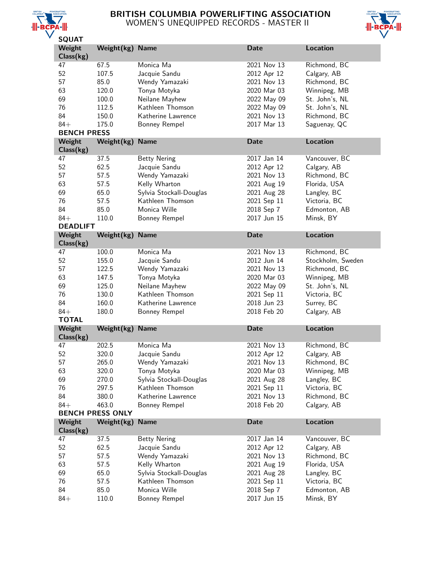

# BRITISH COLUMBIA POWERLIFTING ASSOCIATION WOMEN'S UNEQUIPPED RECORDS - MASTER II



| JWUMI                       |                         |                               |                           |                           |
|-----------------------------|-------------------------|-------------------------------|---------------------------|---------------------------|
| Weight<br>Class(kg)         | Weight(kg)              | <b>Name</b>                   | <b>Date</b>               | <b>Location</b>           |
| 47                          | 67.5                    | Monica Ma                     | 2021 Nov 13               | Richmond, BC              |
| 52                          | 107.5                   | Jacquie Sandu                 | 2012 Apr 12               | Calgary, AB               |
| 57                          | 85.0                    | Wendy Yamazaki                | 2021 Nov 13               | Richmond, BC              |
| 63                          | 120.0                   | Tonya Motyka                  | 2020 Mar 03               | Winnipeg, MB              |
| 69                          | 100.0                   | Neilane Mayhew                | 2022 May 09               | St. John's, NL            |
| 76                          |                         |                               |                           |                           |
|                             | 112.5                   | Kathleen Thomson              | 2022 May 09               | St. John's, NL            |
| 84                          | 150.0                   | Katherine Lawrence            | 2021 Nov 13               | Richmond, BC              |
| $84+$<br><b>BENCH PRESS</b> | 175.0                   | Bonney Rempel                 | 2017 Mar 13               | Saguenay, QC              |
| Weight                      | Weight(kg)              | <b>Name</b>                   | <b>Date</b>               | <b>Location</b>           |
| Class(kg)                   |                         |                               |                           |                           |
| 47                          | 37.5                    | <b>Betty Nering</b>           | 2017 Jan 14               | Vancouver, BC             |
| 52                          | 62.5                    | Jacquie Sandu                 | 2012 Apr 12               | Calgary, AB               |
| 57                          | 57.5                    | Wendy Yamazaki                | 2021 Nov 13               | Richmond, BC              |
| 63                          | 57.5                    | Kelly Wharton                 | 2021 Aug 19               | Florida, USA              |
| 69                          | 65.0                    | Sylvia Stockall-Douglas       | 2021 Aug 28               | Langley, BC               |
| 76                          | 57.5                    | Kathleen Thomson              | 2021 Sep 11               | Victoria, BC              |
| 84                          | 85.0                    | Monica Wille                  | 2018 Sep 7                | Edmonton, AB              |
|                             |                         |                               |                           |                           |
| $84+$<br><b>DEADLIFT</b>    | 110.0                   | Bonney Rempel                 | 2017 Jun 15               | Minsk, BY                 |
| Weight                      | Weight(kg)              | <b>Name</b>                   | <b>Date</b>               | <b>Location</b>           |
| Class(kg)                   |                         |                               |                           |                           |
| 47                          | 100.0                   | Monica Ma                     | 2021 Nov 13               | Richmond, BC              |
| 52                          | 155.0                   | Jacquie Sandu                 | 2012 Jun 14               | Stockholm, Sweden         |
| 57                          | 122.5                   | Wendy Yamazaki                | 2021 Nov 13               | Richmond, BC              |
| 63                          | 147.5                   | Tonya Motyka                  | 2020 Mar 03               | Winnipeg, MB              |
| 69                          | 125.0                   | Neilane Mayhew                | 2022 May 09               | St. John's, NL            |
| 76                          | 130.0                   | Kathleen Thomson              | 2021 Sep 11               | Victoria, BC              |
| 84                          | 160.0                   | Katherine Lawrence            | 2018 Jun 23               | Surrey, BC                |
| $84+$                       | 180.0                   |                               | 2018 Feb 20               |                           |
| <b>TOTAL</b>                |                         | Bonney Rempel                 |                           | Calgary, AB               |
| Weight                      | Weight(kg)              | <b>Name</b>                   | <b>Date</b>               | <b>Location</b>           |
| Class(kg)                   |                         |                               |                           |                           |
| 47                          | 202.5                   | Monica Ma                     | 2021 Nov 13               | Richmond, BC              |
| 52                          | 320.0                   | Jacquie Sandu                 | 2012 Apr 12               | Calgary, AB               |
| 57                          | 265.0                   | Wendy Yamazaki                | 2021 Nov 13               | Richmond, BC              |
| 63                          | 320.0                   | Tonya Motyka                  | 2020 Mar 03               | Winnipeg, MB              |
| 69                          | 270.0                   | Sylvia Stockall-Douglas       | 2021 Aug 28               | Langley, BC               |
| 76                          | 297.5                   | Kathleen Thomson              | 2021 Sep 11               | Victoria, BC              |
| 84                          | 380.0                   | Katherine Lawrence            | 2021 Nov 13               | Richmond, BC              |
| $84+$                       | 463.0                   | Bonney Rempel                 | 2018 Feb 20               | Calgary, AB               |
|                             | <b>BENCH PRESS ONLY</b> |                               |                           |                           |
| Weight                      | Weight(kg)              | <b>Name</b>                   | <b>Date</b>               | Location                  |
| Class(kg)                   |                         |                               |                           |                           |
| 47                          | 37.5                    | <b>Betty Nering</b>           | 2017 Jan 14               | Vancouver, BC             |
| 52                          | 62.5                    | Jacquie Sandu                 | 2012 Apr 12               | Calgary, AB               |
| 57                          | 57.5                    | Wendy Yamazaki                | 2021 Nov 13               | Richmond, BC              |
| 63                          | 57.5                    | Kelly Wharton                 | 2021 Aug 19               | Florida, USA              |
| 69                          |                         |                               | 2021 Aug 28               | Langley, BC               |
|                             |                         |                               |                           |                           |
|                             | 65.0                    | Sylvia Stockall-Douglas       |                           |                           |
| 76                          | 57.5                    | Kathleen Thomson              | 2021 Sep 11               | Victoria, BC              |
| 84<br>$84+$                 | 85.0<br>110.0           | Monica Wille<br>Bonney Rempel | 2018 Sep 7<br>2017 Jun 15 | Edmonton, AB<br>Minsk, BY |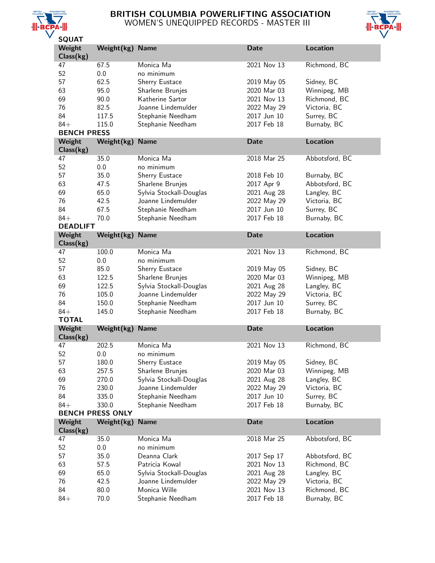

# BRITISH COLUMBIA POWERLIFTING ASSOCIATION WOMEN'S UNEQUIPPED RECORDS - MASTER III



| JQUAI               |                         |                                   |                            |                             |
|---------------------|-------------------------|-----------------------------------|----------------------------|-----------------------------|
| Weight<br>Class(kg) | Weight(kg) Name         |                                   | <b>Date</b>                | <b>Location</b>             |
| 47                  | 67.5                    | Monica Ma                         | 2021 Nov 13                | Richmond, BC                |
| 52                  | 0.0                     | no minimum                        |                            |                             |
| 57                  | 62.5                    | Sherry Eustace                    | 2019 May 05                | Sidney, BC                  |
| 63                  | 95.0                    | Sharlene Brunjes                  | 2020 Mar 03                | Winnipeg, MB                |
| 69                  | 90.0                    | Katherine Sartor                  | 2021 Nov 13                | Richmond, BC                |
| 76                  | 82.5                    | Joanne Lindemulder                | 2022 May 29                | Victoria, BC                |
| 84                  | 117.5                   | Stephanie Needham                 | 2017 Jun 10                | Surrey, BC                  |
| $84+$               | 115.0                   | Stephanie Needham                 | 2017 Feb 18                | Burnaby, BC                 |
| <b>BENCH PRESS</b>  |                         |                                   |                            |                             |
| Weight              | Weight(kg)              | <b>Name</b>                       | <b>Date</b>                | <b>Location</b>             |
| Class(kg)           |                         |                                   |                            |                             |
| 47                  | 35.0                    | Monica Ma                         | 2018 Mar 25                | Abbotsford, BC              |
| 52                  | 0.0                     | no minimum                        |                            |                             |
| 57                  | 35.0                    | Sherry Eustace                    | 2018 Feb 10                | Burnaby, BC                 |
| 63                  | 47.5                    | Sharlene Brunjes                  | 2017 Apr 9                 | Abbotsford, BC              |
| 69                  | 65.0                    | Sylvia Stockall-Douglas           | 2021 Aug 28                | Langley, BC                 |
| 76                  | 42.5                    | Joanne Lindemulder                | 2022 May 29                | Victoria, BC                |
| 84                  | 67.5                    | Stephanie Needham                 | 2017 Jun 10                | Surrey, BC                  |
| $84+$               | 70.0                    | Stephanie Needham                 | 2017 Feb 18                | Burnaby, BC                 |
| <b>DEADLIFT</b>     |                         |                                   |                            |                             |
| Weight              | Weight(kg)              | <b>Name</b>                       | <b>Date</b>                | <b>Location</b>             |
| Class(kg)           |                         |                                   |                            |                             |
| 47                  | 100.0                   | Monica Ma                         | 2021 Nov 13                | Richmond, BC                |
| 52                  | 0.0                     | no minimum                        |                            |                             |
| 57                  | 85.0                    | Sherry Eustace                    | 2019 May 05                | Sidney, BC                  |
| 63                  | 122.5                   | Sharlene Brunjes                  | 2020 Mar 03                | Winnipeg, MB                |
| 69                  | 122.5                   | Sylvia Stockall-Douglas           | 2021 Aug 28                | Langley, BC                 |
| 76                  | 105.0                   | Joanne Lindemulder                | 2022 May 29                | Victoria, BC                |
| 84                  | 150.0                   | Stephanie Needham                 | 2017 Jun 10                | Surrey, BC                  |
| $84+$               | 145.0                   | Stephanie Needham                 | 2017 Feb 18                | Burnaby, BC                 |
| <b>TOTAL</b>        |                         |                                   |                            |                             |
| Weight<br>Class(kg) | Weight(kg)              | <b>Name</b>                       | <b>Date</b>                | <b>Location</b>             |
| 47                  | 202.5                   | Monica Ma                         | 2021 Nov 13                | Richmond, BC                |
| 52                  | 0.0                     | no minimum                        |                            |                             |
| 57                  | 180.0                   | Sherry Eustace                    | 2019 May 05                | Sidney, BC                  |
| 63                  | 257.5                   | Sharlene Brunjes                  | 2020 Mar 03                | Winnipeg, MB                |
| 69                  | 270.0                   | Sylvia Stockall-Douglas           | 2021 Aug 28                | Langley, BC                 |
| 76                  |                         |                                   |                            |                             |
| 84                  | 230.0                   | Joanne Lindemulder                | 2022 May 29                | Victoria, BC                |
|                     | 335.0                   | Stephanie Needham                 | 2017 Jun 10                | Surrey, BC                  |
| $84+$               | 330.0                   |                                   | 2017 Feb 18                | Burnaby, BC                 |
|                     | <b>BENCH PRESS ONLY</b> | Stephanie Needham                 |                            |                             |
| Weight              | Weight(kg)              | <b>Name</b>                       | <b>Date</b>                | <b>Location</b>             |
| Class(kg)           |                         |                                   |                            |                             |
| 47                  | 35.0                    | Monica Ma                         | 2018 Mar 25                | Abbotsford, BC              |
| 52                  | 0.0                     | no minimum                        |                            |                             |
| 57                  | 35.0                    | Deanna Clark                      | 2017 Sep 17                | Abbotsford, BC              |
| 63                  | 57.5                    | Patricia Kowal                    | 2021 Nov 13                | Richmond, BC                |
| 69                  | 65.0                    | Sylvia Stockall-Douglas           | 2021 Aug 28                | Langley, BC                 |
| 76                  | 42.5                    | Joanne Lindemulder                | 2022 May 29                | Victoria, BC                |
| 84<br>$84+$         | 80.0<br>70.0            | Monica Wille<br>Stephanie Needham | 2021 Nov 13<br>2017 Feb 18 | Richmond, BC<br>Burnaby, BC |